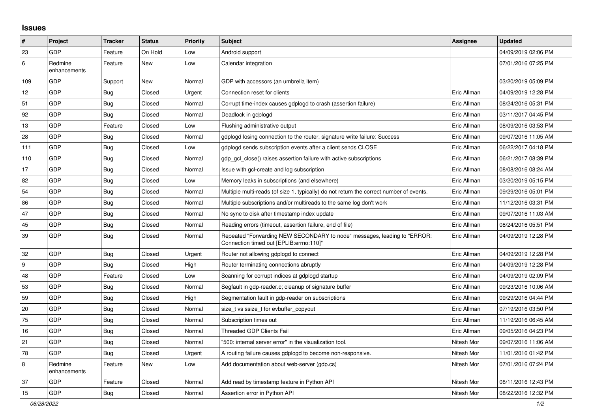## **Issues**

| $\sharp$ | Project                 | <b>Tracker</b> | <b>Status</b> | <b>Priority</b> | <b>Subject</b>                                                                                                      | <b>Assignee</b> | <b>Updated</b>      |
|----------|-------------------------|----------------|---------------|-----------------|---------------------------------------------------------------------------------------------------------------------|-----------------|---------------------|
| 23       | <b>GDP</b>              | Feature        | On Hold       | Low             | Android support                                                                                                     |                 | 04/09/2019 02:06 PM |
| 6        | Redmine<br>enhancements | Feature        | <b>New</b>    | Low             | Calendar integration                                                                                                |                 | 07/01/2016 07:25 PM |
| 109      | GDP                     | Support        | <b>New</b>    | Normal          | GDP with accessors (an umbrella item)                                                                               |                 | 03/20/2019 05:09 PM |
| 12       | GDP                     | <b>Bug</b>     | Closed        | Urgent          | Connection reset for clients                                                                                        | Eric Allman     | 04/09/2019 12:28 PM |
| 51       | <b>GDP</b>              | Bug            | Closed        | Normal          | Corrupt time-index causes gdplogd to crash (assertion failure)                                                      | Eric Allman     | 08/24/2016 05:31 PM |
| 92       | GDP                     | <b>Bug</b>     | Closed        | Normal          | Deadlock in gdplogd                                                                                                 | Eric Allman     | 03/11/2017 04:45 PM |
| 13       | <b>GDP</b>              | Feature        | Closed        | Low             | Flushing administrative output                                                                                      | Eric Allman     | 08/09/2016 03:53 PM |
| 28       | GDP                     | <b>Bug</b>     | Closed        | Normal          | gdplogd losing connection to the router, signature write failure: Success                                           | Eric Allman     | 09/07/2016 11:05 AM |
| 111      | GDP                     | Bug            | Closed        | Low             | gdplogd sends subscription events after a client sends CLOSE                                                        | Eric Allman     | 06/22/2017 04:18 PM |
| 110      | <b>GDP</b>              | Bug            | Closed        | Normal          | gdp gcl close() raises assertion failure with active subscriptions                                                  | Eric Allman     | 06/21/2017 08:39 PM |
| 17       | GDP                     | <b>Bug</b>     | Closed        | Normal          | Issue with gcl-create and log subscription                                                                          | Eric Allman     | 08/08/2016 08:24 AM |
| 82       | GDP                     | Bug            | Closed        | Low             | Memory leaks in subscriptions (and elsewhere)                                                                       | Eric Allman     | 03/20/2019 05:15 PM |
| 54       | GDP                     | <b>Bug</b>     | Closed        | Normal          | Multiple multi-reads (of size 1, typically) do not return the correct number of events.                             | Eric Allman     | 09/29/2016 05:01 PM |
| 86       | GDP                     | <b>Bug</b>     | Closed        | Normal          | Multiple subscriptions and/or multireads to the same log don't work                                                 | Eric Allman     | 11/12/2016 03:31 PM |
| 47       | GDP                     | <b>Bug</b>     | Closed        | Normal          | No sync to disk after timestamp index update                                                                        | Eric Allman     | 09/07/2016 11:03 AM |
| 45       | GDP                     | <b>Bug</b>     | Closed        | Normal          | Reading errors (timeout, assertion failure, end of file)                                                            | Eric Allman     | 08/24/2016 05:51 PM |
| 39       | GDP                     | Bug            | Closed        | Normal          | Repeated "Forwarding NEW SECONDARY to node" messages, leading to "ERROR:<br>Connection timed out [EPLIB:errno:110]" | Eric Allman     | 04/09/2019 12:28 PM |
| 32       | GDP                     | Bug            | Closed        | Urgent          | Router not allowing gdplogd to connect                                                                              | Eric Allman     | 04/09/2019 12:28 PM |
| 9        | GDP                     | <b>Bug</b>     | Closed        | High            | Router terminating connections abruptly                                                                             | Eric Allman     | 04/09/2019 12:28 PM |
| 48       | <b>GDP</b>              | Feature        | Closed        | Low             | Scanning for corrupt indices at gdplogd startup                                                                     | Eric Allman     | 04/09/2019 02:09 PM |
| 53       | GDP                     | <b>Bug</b>     | Closed        | Normal          | Segfault in gdp-reader.c; cleanup of signature buffer                                                               | Eric Allman     | 09/23/2016 10:06 AM |
| 59       | GDP                     | <b>Bug</b>     | Closed        | High            | Segmentation fault in gdp-reader on subscriptions                                                                   | Eric Allman     | 09/29/2016 04:44 PM |
| 20       | <b>GDP</b>              | Bug            | Closed        | Normal          | size t vs ssize t for evbuffer copyout                                                                              | Eric Allman     | 07/19/2016 03:50 PM |
| 75       | GDP                     | <b>Bug</b>     | Closed        | Normal          | Subscription times out                                                                                              | Eric Allman     | 11/19/2016 06:45 AM |
| 16       | GDP                     | Bug            | Closed        | Normal          | <b>Threaded GDP Clients Fail</b>                                                                                    | Eric Allman     | 09/05/2016 04:23 PM |
| 21       | GDP                     | <b>Bug</b>     | Closed        | Normal          | "500: internal server error" in the visualization tool.                                                             | Nitesh Mor      | 09/07/2016 11:06 AM |
| 78       | <b>GDP</b>              | Bug            | Closed        | Urgent          | A routing failure causes gdplogd to become non-responsive.                                                          | Nitesh Mor      | 11/01/2016 01:42 PM |
| 8        | Redmine<br>enhancements | Feature        | New           | Low             | Add documentation about web-server (gdp.cs)                                                                         | Nitesh Mor      | 07/01/2016 07:24 PM |
| 37       | <b>GDP</b>              | Feature        | Closed        | Normal          | Add read by timestamp feature in Python API                                                                         | Nitesh Mor      | 08/11/2016 12:43 PM |
| 15       | GDP                     | Bug            | Closed        | Normal          | Assertion error in Python API                                                                                       | Nitesh Mor      | 08/22/2016 12:32 PM |